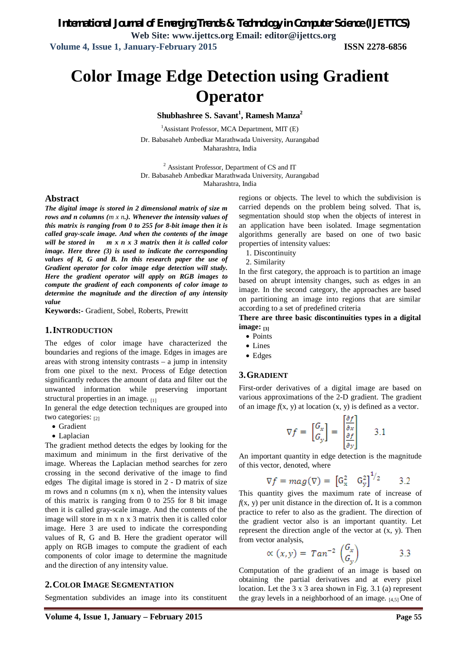*International Journal of Emerging Trends & Technology in Computer Science (IJETTCS)* **Web Site: www.ijettcs.org Email: editor@ijettcs.org Volume 4, Issue 1, January-February 2015 ISSN 2278-6856**

# **Color Image Edge Detection using Gradient Operator**

**Shubhashree S. Savant<sup>1</sup> , Ramesh Manza<sup>2</sup>**

 $<sup>1</sup>$ Assistant Professor, MCA Department, MIT (E)</sup> Dr. Babasaheb Ambedkar Marathwada University, Aurangabad Maharashtra, India

<sup>2</sup> Assistant Professor, Department of CS and IT Dr. Babasaheb Ambedkar Marathwada University, Aurangabad Maharashtra, India

#### **Abstract**

*The digital image is stored in 2 dimensional matrix of size m rows and n columns (m x n.). Whenever the intensity values of this matrix is ranging from 0 to 255 for 8-bit image then it is called gray-scale image. And when the contents of the image will be stored in m x n x 3 matrix then it is called color image. Here three (3) is used to indicate the corresponding values of R, G and B. In this research paper the use of Gradient operator for color image edge detection will study. Here the gradient operator will apply on RGB images to compute the gradient of each components of color image to determine the magnitude and the direction of any intensity value*

**Keywords:-** Gradient, Sobel, Roberts, Prewitt

#### **1.INTRODUCTION**

The edges of color image have characterized the boundaries and regions of the image. Edges in images are areas with strong intensity contrasts  $-$  a jump in intensity from one pixel to the next. Process of Edge detection significantly reduces the amount of data and filter out the unwanted information while preserving important structural properties in an image.  $_{[1]}$ 

In general the edge detection techniques are grouped into two categories:  $_{[2]}$ 

- Gradient
- Laplacian

The gradient method detects the edges by looking for the maximum and minimum in the first derivative of the image. Whereas the Laplacian method searches for zero crossing in the second derivative of the image to find edges The digital image is stored in 2 - D matrix of size m rows and n columns (m x n), when the intensity values of this matrix is ranging from 0 to 255 for 8 bit image then it is called gray-scale image. And the contents of the image will store in m x n x 3 matrix then it is called color image. Here 3 are used to indicate the corresponding values of R, G and B. Here the gradient operator will apply on RGB images to compute the gradient of each components of color image to determine the magnitude and the direction of any intensity value.

#### **2.COLOR IMAGE SEGMENTATION**

Segmentation subdivides an image into its constituent

regions or objects. The level to which the subdivision is carried depends on the problem being solved. That is, segmentation should stop when the objects of interest in an application have been isolated. Image segmentation algorithms generally are based on one of two basic properties of intensity values:

1. Discontinuity

2. Similarity

In the first category, the approach is to partition an image based on abrupt intensity changes, such as edges in an image. In the second category, the approaches are based on partitioning an image into regions that are similar according to a set of predefined criteria

**There are three basic discontinuities types in a digital image: [3]**

- Points
- Lines
- Edges

### **3.GRADIENT**

First-order derivatives of a digital image are based on various approximations of the 2-D gradient. The gradient of an image  $f(x, y)$  at location  $(x, y)$  is defined as a vector.

$$
\nabla f = \begin{bmatrix} G_x \\ G_y \end{bmatrix} = \begin{bmatrix} \frac{\partial f}{\partial x} \\ \frac{\partial f}{\partial y} \end{bmatrix} \qquad 3.1
$$

An important quantity in edge detection is the magnitude of this vector, denoted, where

$$
\nabla f = mag(\nabla) = \begin{bmatrix} G_x^2 & G_y^2 \end{bmatrix}^{1/2} \qquad 3.2
$$

This quantity gives the maximum rate of increase of *f*(x, y) per unit distance in the direction of**.** It is a common practice to refer to also as the gradient. The direction of the gradient vector also is an important quantity. Let represent the direction angle of the vector at  $(x, y)$ . Then from vector analysis,

$$
\propto (x, y) = \tan^{-2} \begin{pmatrix} G_x \\ G_y \end{pmatrix} \tag{3.3}
$$

Computation of the gradient of an image is based on obtaining the partial derivatives and at every pixel location. Let the 3 x 3 area shown in Fig. 3.1 (a) represent the gray levels in a neighborhood of an image.  $[4,5]$  One of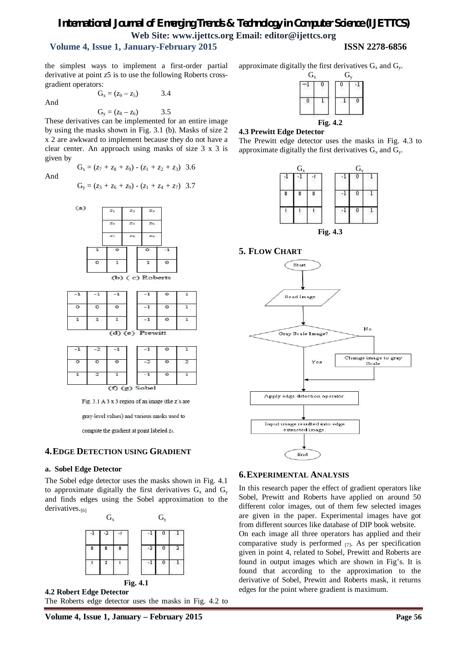# *International Journal of Emerging Trends & Technology in Computer Science (IJETTCS)* **Web Site: www.ijettcs.org Email: editor@ijettcs.org Volume 4, Issue 1, January-February 2015 ISSN 2278-6856**

the simplest ways to implement a first-order partial derivative at point *z*5 is to use the following Roberts crossgradient operators:

 $G_x = (z_9 - z_5)$  3.4

And

$$
\mathbf{a} = \mathbf{a} \times \mathbf{a} \times \mathbf{a}
$$

 $G_y = (z_8 - z_6)$  3.5 These derivatives can be implemented for an entire image by using the masks shown in Fig. 3.1 (b). Masks of size 2 x 2 are awkward to implement because they do not have a clear center. An approach using masks of size 3 x 3 is given by

And

$$
G_y = (z_3 + z_6 + z_9) - (z_1 + z_4 + z_7) 3.7
$$

 $G_x = (z_7 + z_8 + z_9) - (z_1 + z_2 + z_3)$  3.6





|  | (g) Sobel |  |
|--|-----------|--|

Fig. 3.1 A 3 x 3 region of an image (the z's are

gray-level values) and various masks used to

compute the gradient at point labeled z5.

#### **4.EDGE DETECTION USING GRADIENT**

#### **a. Sobel Edge Detector**

The Sobel edge detector uses the masks shown in Fig. 4.1 to approximate digitally the first derivatives  $G_x$  and  $G_y$ and finds edges using the Sobel approximation to the derivatives.<sup>[6]</sup>





approximate digitally the first derivatives  $G_x$  and  $G_y$ .



#### **4.3 Prewitt Edge Detector**







#### **5. FLOW CHART**



#### **6.EXPERIMENTAL ANALYSIS**

In this research paper the effect of gradient operators like Sobel, Prewitt and Roberts have applied on around 50 different color images, out of them few selected images are given in the paper. Experimental images have got from different sources like database of DIP book website. On each image all three operators has applied and their comparative study is performed [7]. As per specification given in point 4, related to Sobel, Prewitt and Roberts are found in output images which are shown in Fig's. It is found that according to the approximation to the derivative of Sobel, Prewitt and Roberts mask, it returns edges for the point where gradient is maximum.